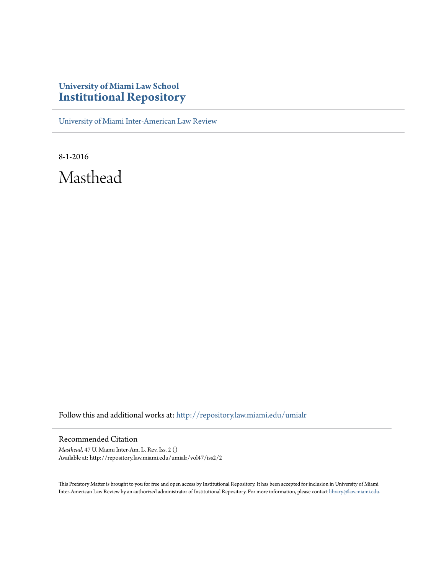## **University of Miami Law School [Institutional Repository](http://repository.law.miami.edu?utm_source=repository.law.miami.edu%2Fumialr%2Fvol47%2Fiss2%2F2&utm_medium=PDF&utm_campaign=PDFCoverPages)**

[University of Miami Inter-American Law Review](http://repository.law.miami.edu/umialr?utm_source=repository.law.miami.edu%2Fumialr%2Fvol47%2Fiss2%2F2&utm_medium=PDF&utm_campaign=PDFCoverPages)

8-1-2016 Masthead

Follow this and additional works at: [http://repository.law.miami.edu/umialr](http://repository.law.miami.edu/umialr?utm_source=repository.law.miami.edu%2Fumialr%2Fvol47%2Fiss2%2F2&utm_medium=PDF&utm_campaign=PDFCoverPages)

#### Recommended Citation

*Masthead*, 47 U. Miami Inter-Am. L. Rev. Iss. 2 () Available at: http://repository.law.miami.edu/umialr/vol47/iss2/2

This Prefatory Matter is brought to you for free and open access by Institutional Repository. It has been accepted for inclusion in University of Miami Inter-American Law Review by an authorized administrator of Institutional Repository. For more information, please contact [library@law.miami.edu](mailto:library@law.miami.edu).